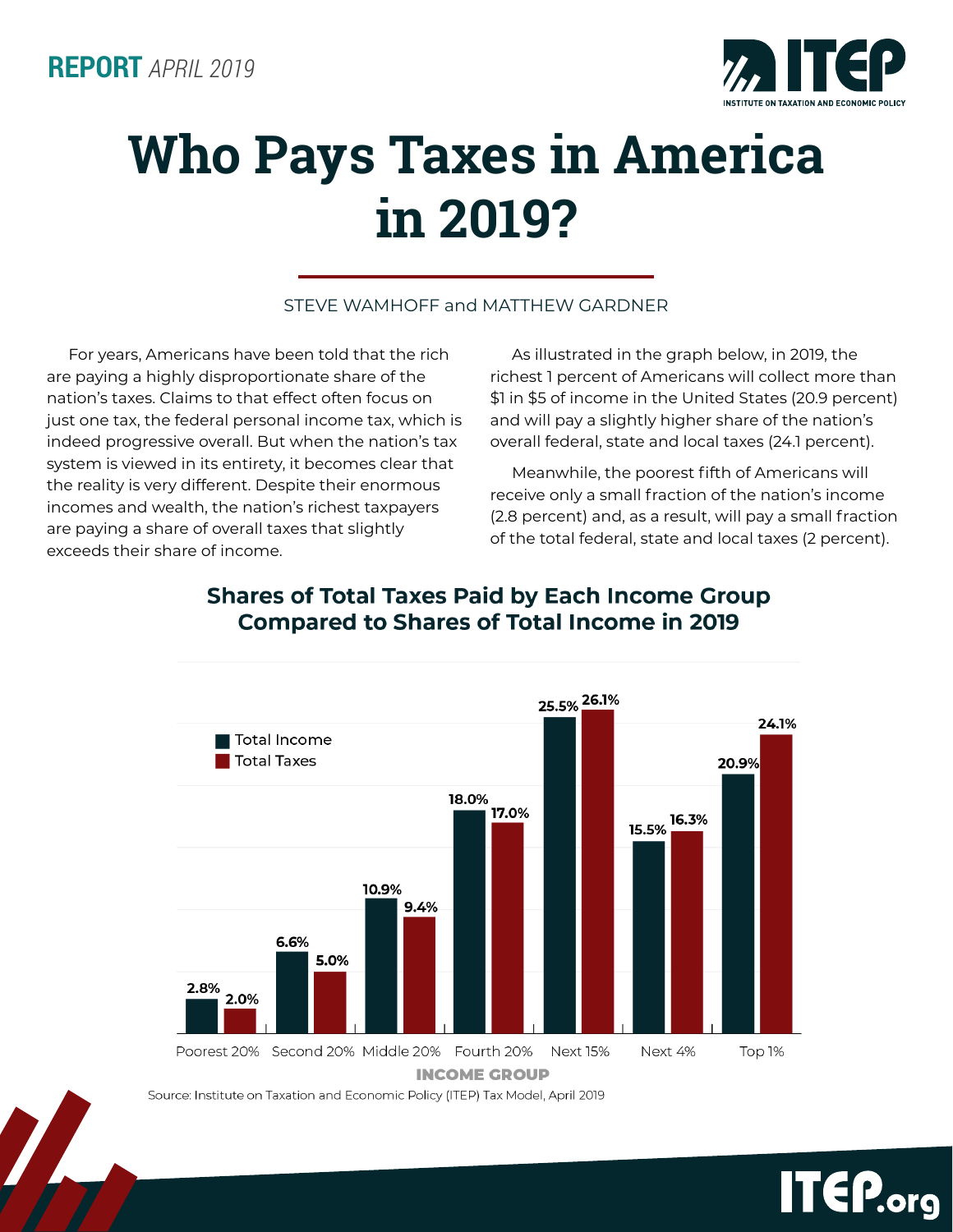

# **Who Pays Taxes in America in 2019?**

#### STEVE WAMHOFF and MATTHEW GARDNER

For years, Americans have been told that the rich are paying a highly disproportionate share of the nation's taxes. Claims to that effect often focus on just one tax, the federal personal income tax, which is indeed progressive overall. But when the nation's tax system is viewed in its entirety, it becomes clear that the reality is very different. Despite their enormous incomes and wealth, the nation's richest taxpayers are paying a share of overall taxes that slightly exceeds their share of income.

As illustrated in the graph below, in 2019, the richest 1 percent of Americans will collect more than \$1 in \$5 of income in the United States (20.9 percent) and will pay a slightly higher share of the nation's overall federal, state and local taxes (24.1 percent).

Meanwhile, the poorest fifth of Americans will receive only a small fraction of the nation's income (2.8 percent) and, as a result, will pay a small fraction of the total federal, state and local taxes (2 percent).



### **Shares of Total Taxes Paid by Each Income Group Compared to Shares of Total Income in 2019**

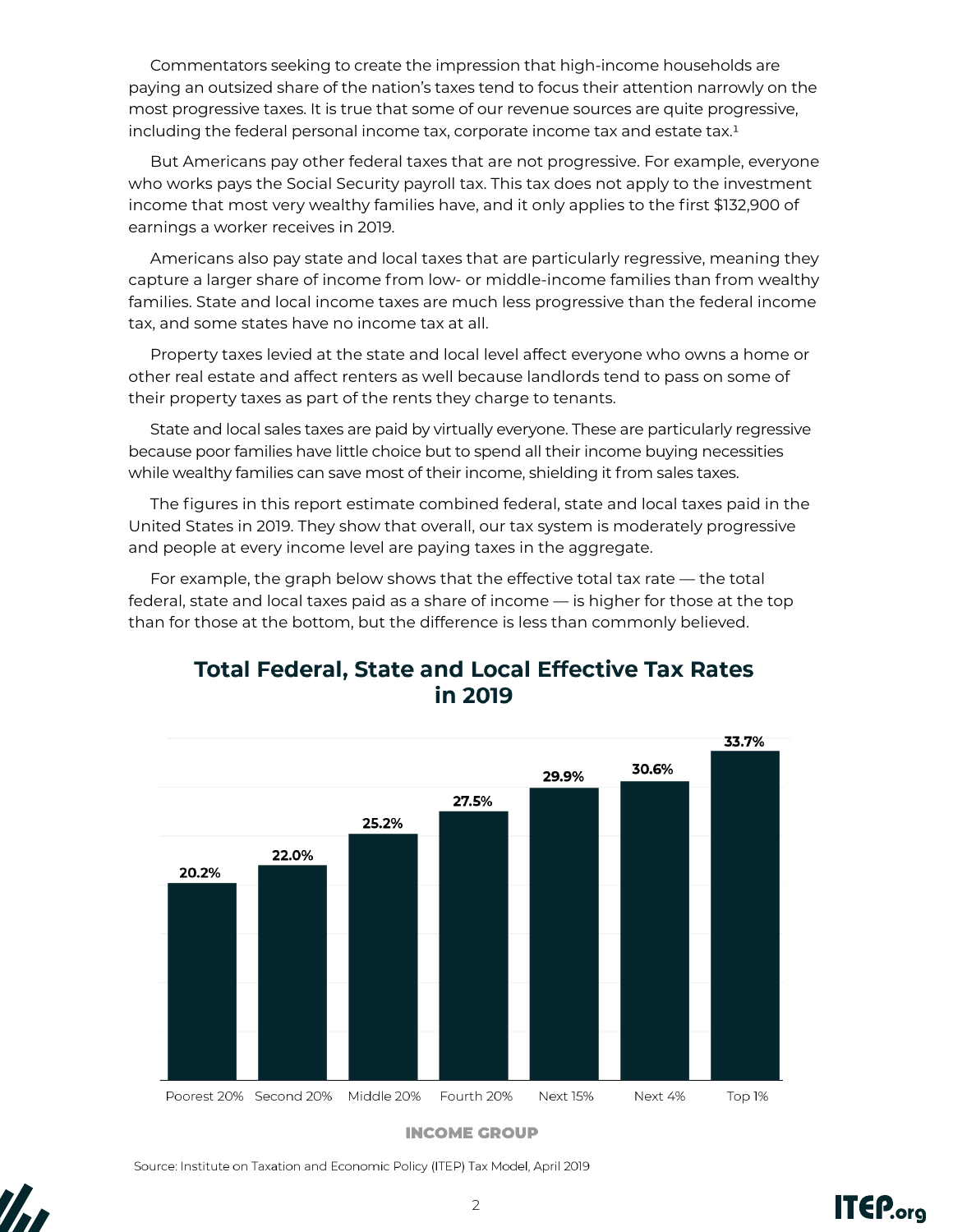Commentators seeking to create the impression that high-income households are paying an outsized share of the nation's taxes tend to focus their attention narrowly on the most progressive taxes. It is true that some of our revenue sources are quite progressive, including the federal personal income tax, corporate income tax and estate tax.1

But Americans pay other federal taxes that are not progressive. For example, everyone who works pays the Social Security payroll tax. This tax does not apply to the investment income that most very wealthy families have, and it only applies to the first \$132,900 of earnings a worker receives in 2019.

Americans also pay state and local taxes that are particularly regressive, meaning they capture a larger share of income from low- or middle-income families than from wealthy families. State and local income taxes are much less progressive than the federal income tax, and some states have no income tax at all.

Property taxes levied at the state and local level affect everyone who owns a home or other real estate and affect renters as well because landlords tend to pass on some of their property taxes as part of the rents they charge to tenants.

State and local sales taxes are paid by virtually everyone. These are particularly regressive because poor families have little choice but to spend all their income buying necessities while wealthy families can save most of their income, shielding it from sales taxes.

The figures in this report estimate combined federal, state and local taxes paid in the United States in 2019. They show that overall, our tax system is moderately progressive and people at every income level are paying taxes in the aggregate.

For example, the graph below shows that the effective total tax rate — the total federal, state and local taxes paid as a share of income — is higher for those at the top than for those at the bottom, but the difference is less than commonly believed.



## **Total Federal, State and Local Effective Tax Rates** in 2019

**INCOME GROUP** 

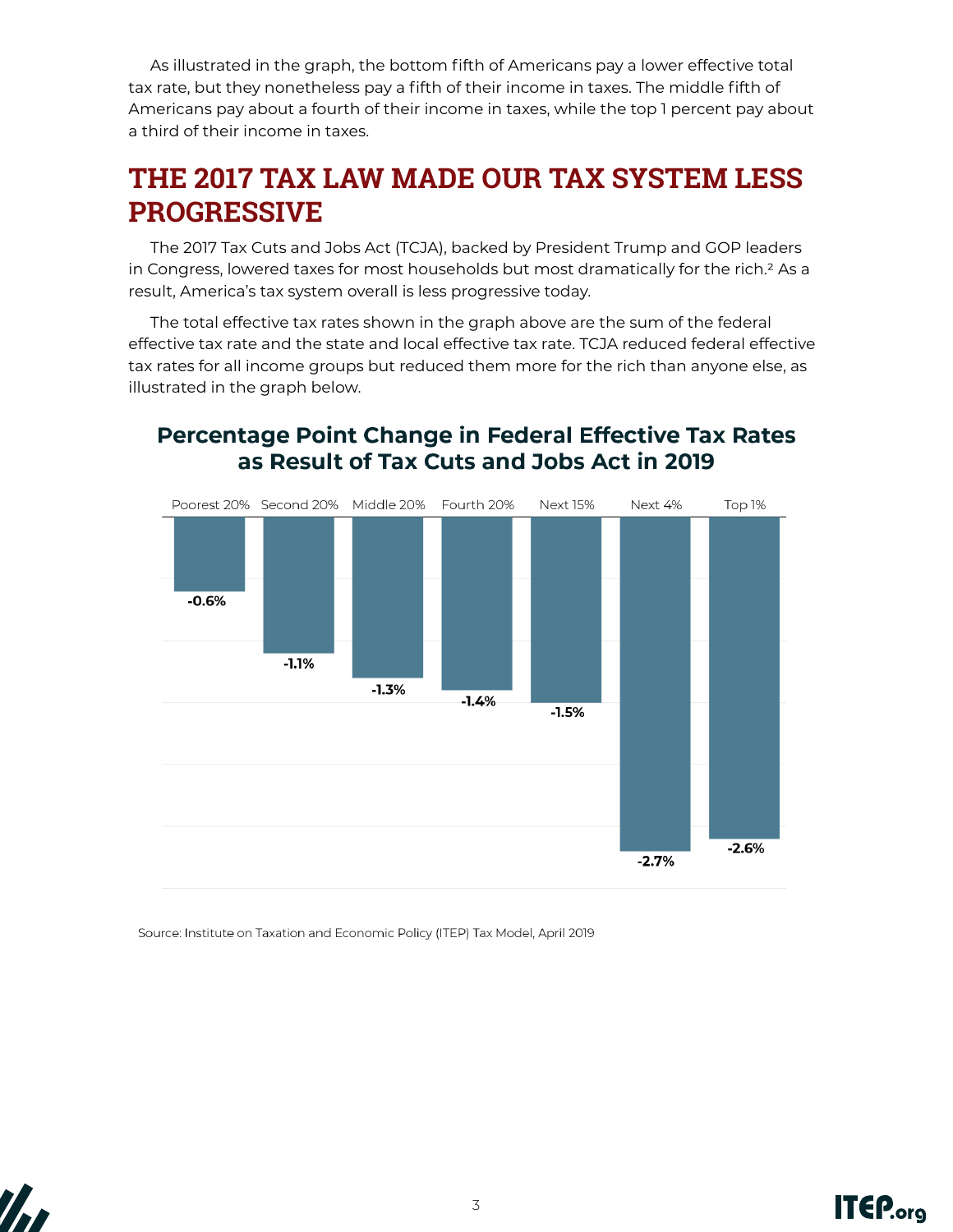As illustrated in the graph, the bottom fifth of Americans pay a lower effective total tax rate, but they nonetheless pay a fifth of their income in taxes. The middle fifth of Americans pay about a fourth of their income in taxes, while the top 1 percent pay about a third of their income in taxes.

## **THE 2017 TAX LAW MADE OUR TAX SYSTEM LESS PROGRESSIVE**

The 2017 Tax Cuts and Jobs Act (TCJA), backed by President Trump and GOP leaders in Congress, lowered taxes for most households but most dramatically for the rich.<sup>2</sup> As a result, America's tax system overall is less progressive today.

The total effective tax rates shown in the graph above are the sum of the federal effective tax rate and the state and local effective tax rate. TCJA reduced federal effective tax rates for all income groups but reduced them more for the rich than anyone else, as illustrated in the graph below.



## Percentage Point Change in Federal Effective Tax Rates as Result of Tax Cuts and Jobs Act in 2019



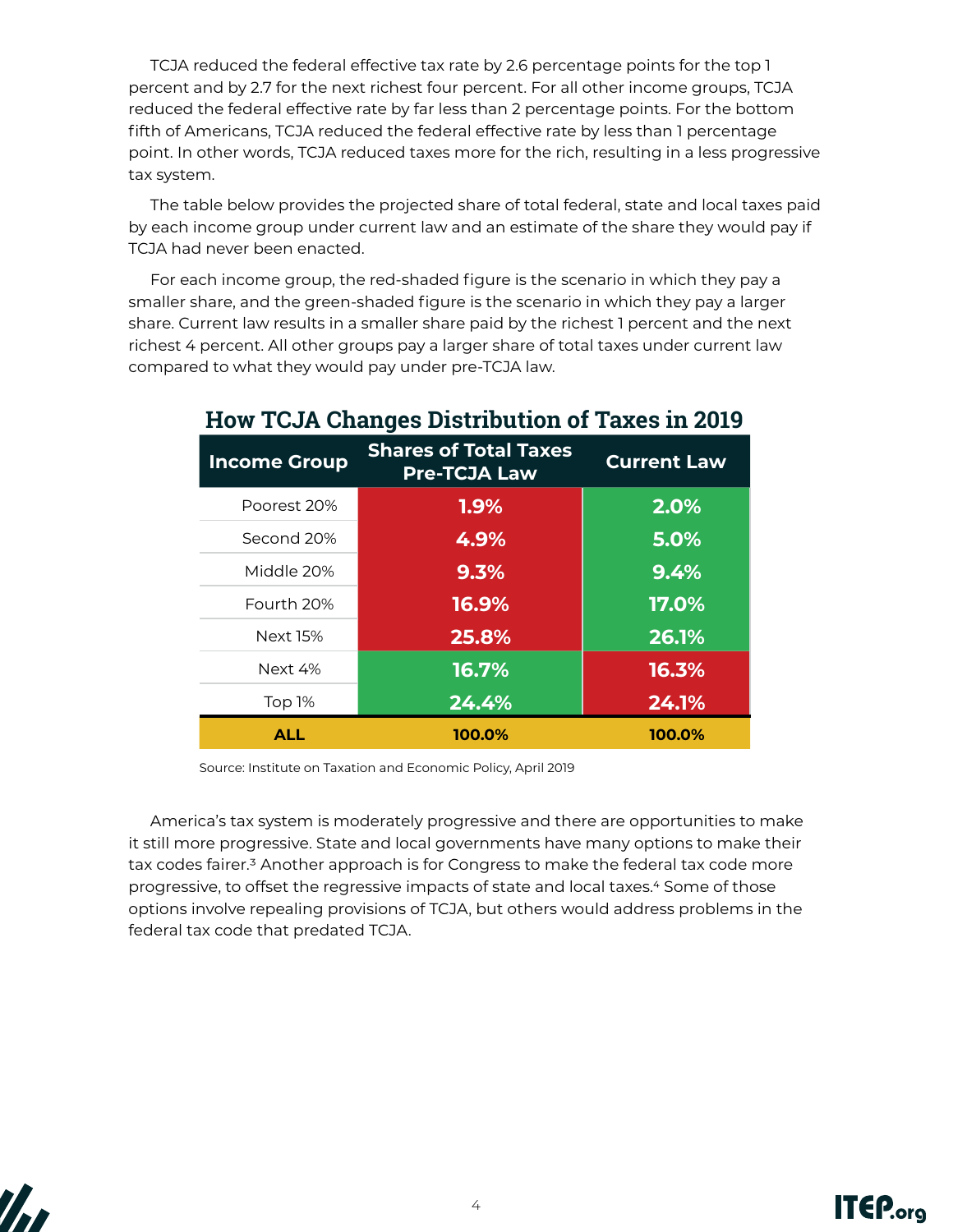TCJA reduced the federal effective tax rate by 2.6 percentage points for the top 1 percent and by 2.7 for the next richest four percent. For all other income groups, TCJA reduced the federal effective rate by far less than 2 percentage points. For the bottom fifth of Americans, TCJA reduced the federal effective rate by less than 1 percentage point. In other words, TCJA reduced taxes more for the rich, resulting in a less progressive tax system.

The table below provides the projected share of total federal, state and local taxes paid by each income group under current law and an estimate of the share they would pay if TCJA had never been enacted.

For each income group, the red-shaded figure is the scenario in which they pay a smaller share, and the green-shaded figure is the scenario in which they pay a larger share. Current law results in a smaller share paid by the richest 1 percent and the next richest 4 percent. All other groups pay a larger share of total taxes under current law compared to what they would pay under pre-TCJA law.

| <b>Income Group</b> | <b>Shares of Total Taxes</b><br><b>Pre-TCJA Law</b> | <b>Current Law</b> |
|---------------------|-----------------------------------------------------|--------------------|
| Poorest 20%         | 1.9%                                                | 2.0%               |
| Second 20%          | 4.9%                                                | 5.0%               |
| Middle 20%          | 9.3%                                                | 9.4%               |
| Fourth 20%          | 16.9%                                               | 17.0%              |
| <b>Next 15%</b>     | 25.8%                                               | 26.1%              |
| Next 4%             | 16.7%                                               | 16.3%              |
| Top 1%              | 24.4%                                               | 24.1%              |
| <b>ALL</b>          | 100.0%                                              | 100.0%             |

## **How TCJA Changes Distribution of Taxes in 2019**

Source: Institute on Taxation and Economic Policy, April 2019

America's tax system is moderately progressive and there are opportunities to make it still more progressive. State and local governments have many options to make their tax codes fairer.<sup>3</sup> Another approach is for Congress to make the federal tax code more progressive, to offset the regressive impacts of state and local taxes.4 Some of those options involve repealing provisions of TCJA, but others would address problems in the federal tax code that predated TCJA.



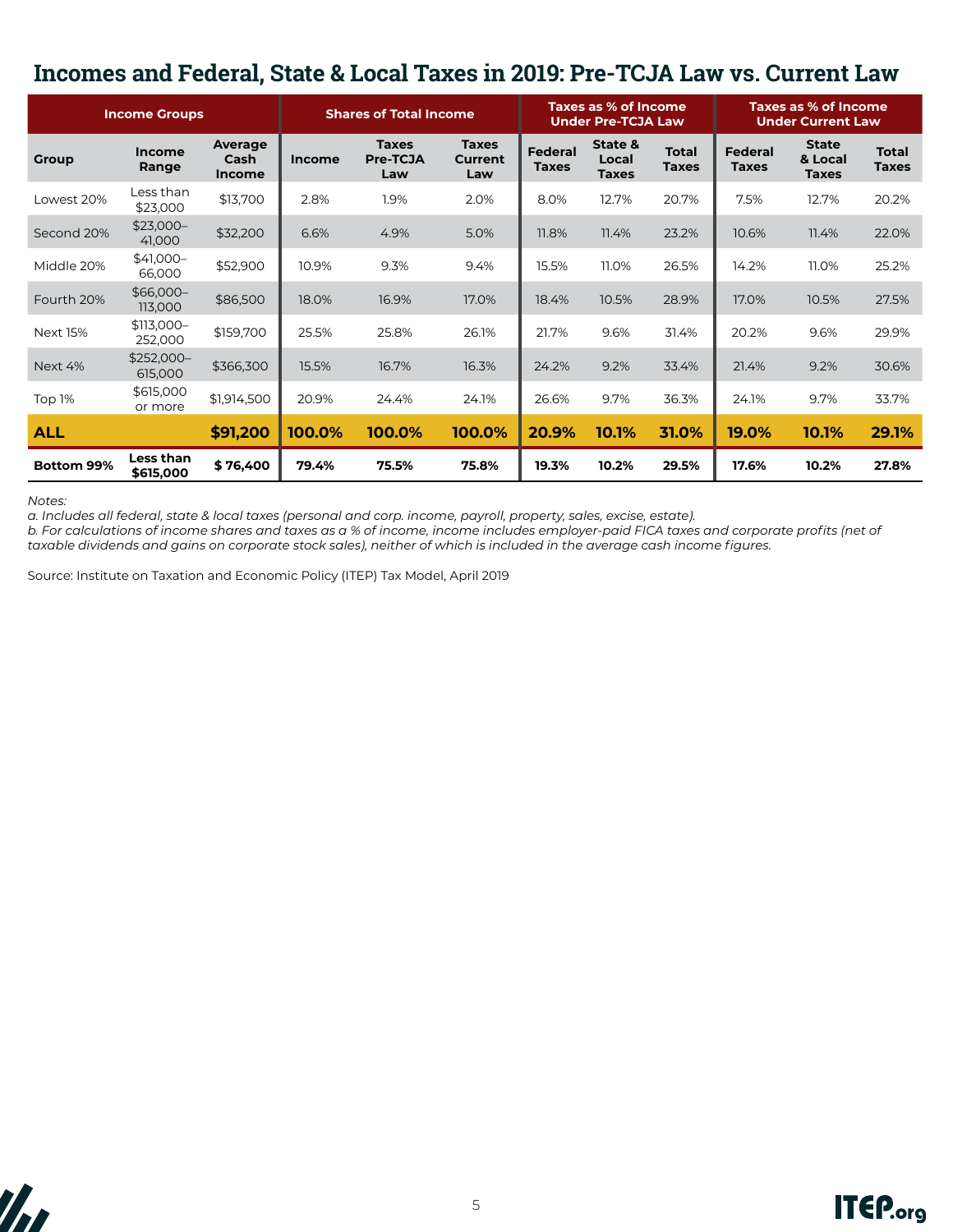## **Incomes and Federal, State & Local Taxes in 2019: Pre-TCJA Law vs. Current Law**

| <b>Income Groups</b> |                               |                                  | <b>Shares of Total Income</b> |                                 | Taxes as % of Income<br><b>Under Pre-TCJA Law</b> |                                | Taxes as % of Income<br><b>Under Current Law</b> |                              |                                |                                         |                              |
|----------------------|-------------------------------|----------------------------------|-------------------------------|---------------------------------|---------------------------------------------------|--------------------------------|--------------------------------------------------|------------------------------|--------------------------------|-----------------------------------------|------------------------------|
| Group                | <b>Income</b><br>Range        | Average<br>Cash<br><b>Income</b> | <b>Income</b>                 | <b>Taxes</b><br>Pre-TCJA<br>Law | <b>Taxes</b><br><b>Current</b><br>Law             | <b>Federal</b><br><b>Taxes</b> | State &<br>Local<br><b>Taxes</b>                 | <b>Total</b><br><b>Taxes</b> | <b>Federal</b><br><b>Taxes</b> | <b>State</b><br>& Local<br><b>Taxes</b> | <b>Total</b><br><b>Taxes</b> |
| Lowest 20%           | Less than<br>\$23,000         | \$13,700                         | 2.8%                          | 1.9%                            | 2.0%                                              | 8.0%                           | 12.7%                                            | 20.7%                        | 7.5%                           | 12.7%                                   | 20.2%                        |
| Second 20%           | $$23,000-$<br>41,000          | \$32,200                         | 6.6%                          | 4.9%                            | 5.0%                                              | 11.8%                          | 11.4%                                            | 23.2%                        | 10.6%                          | 11.4%                                   | 22.0%                        |
| Middle 20%           | $$41,000-$<br>66,000          | \$52,900                         | 10.9%                         | 9.3%                            | 9.4%                                              | 15.5%                          | 11.0%                                            | 26.5%                        | 14.2%                          | 11.0%                                   | 25.2%                        |
| Fourth 20%           | $$66,000-$<br>113,000         | \$86,500                         | 18.0%                         | 16.9%                           | 17.0%                                             | 18.4%                          | 10.5%                                            | 28.9%                        | 17.0%                          | 10.5%                                   | 27.5%                        |
| <b>Next 15%</b>      | \$113,000-<br>252,000         | \$159,700                        | 25.5%                         | 25.8%                           | 26.1%                                             | 21.7%                          | 9.6%                                             | 31.4%                        | 20.2%                          | 9.6%                                    | 29.9%                        |
| Next 4%              | \$252,000-<br>615,000         | \$366,300                        | 15.5%                         | 16.7%                           | 16.3%                                             | 24.2%                          | 9.2%                                             | 33.4%                        | 21.4%                          | 9.2%                                    | 30.6%                        |
| Top 1%               | \$615,000<br>or more          | \$1,914,500                      | 20.9%                         | 24.4%                           | 24.1%                                             | 26.6%                          | 9.7%                                             | 36.3%                        | 24.1%                          | 9.7%                                    | 33.7%                        |
| <b>ALL</b>           |                               | \$91,200                         | 100.0%                        | 100.0%                          | 100.0%                                            | 20.9%                          | 10.1%                                            | 31.0%                        | 19.0%                          | 10.1%                                   | 29.1%                        |
| <b>Bottom 99%</b>    | <b>Less than</b><br>\$615,000 | \$76,400                         | 79.4%                         | 75.5%                           | 75.8%                                             | 19.3%                          | 10.2%                                            | 29.5%                        | 17.6%                          | 10.2%                                   | 27.8%                        |

*Notes:*

*a. Includes all federal, state & local taxes (personal and corp. income, payroll, property, sales, excise, estate).*

*b. For calculations of income shares and taxes as a % of income, income includes employer-paid FICA taxes and corporate profits (net of taxable dividends and gains on corporate stock sales), neither of which is included in the average cash income figures.*